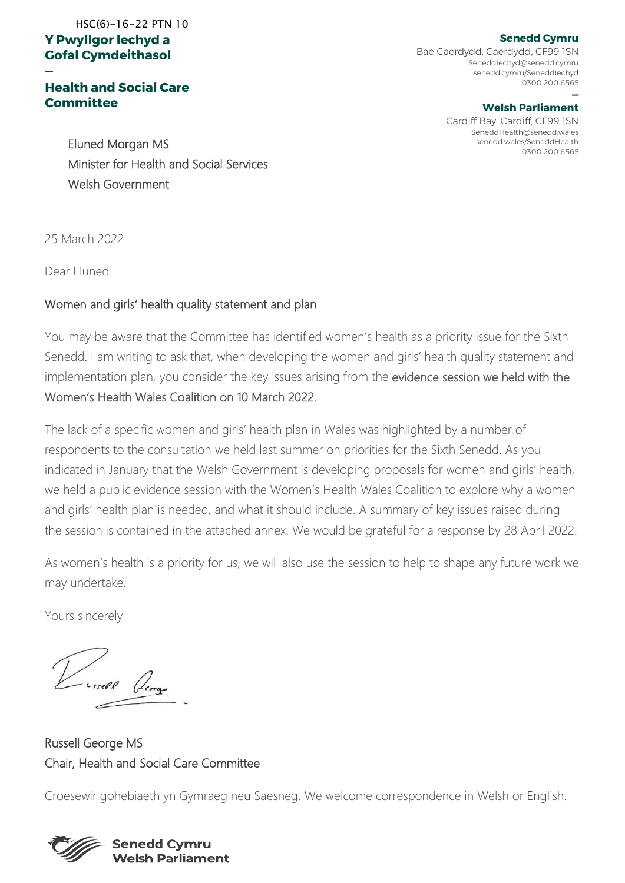#### **Y Pwyllgor Iechyd a Gofal Cymdeithasol**  HSC(6)-16-22 PTN 10

#### **Health and Social Care Committee**

**Senedd Cymru** Bae Caerdydd, Caerdydd, CF99 1SN SeneddIechyd@senedd.cymru senedd.cymru/SeneddIechyd 0300 200 6565

#### **— Welsh Parliament**

Cardiff Bay, Cardiff, CF99 1SN SeneddHealth@senedd.wales senedd.wales/SeneddHealth 0300 200 6565

Eluned Morgan MS Minister for Health and Social Services Welsh Government

25 March 2022

**—**

Dear Eluned

#### Women and girls' health quality statement and plan

You may be aware that the Committee has identified women's health as a priority issue for the Sixth Senedd. I am writing to ask that, when developing the women and girls' health quality statement and implementation plan, you consider the key issues arising from the [evidence session we held with the](https://record.assembly.wales/Committee/12643)  [Women's Health Wales Coalition on 10 March 2022](https://record.assembly.wales/Committee/12643).

The lack of a specific women and girls' health plan in Wales was highlighted by a number of respondents to the consultation we held last summer on priorities for the Sixth Senedd. As you indicated in January that the Welsh Government is developing proposals for women and girls' health, we held a public evidence session with the Women's Health Wales Coalition to explore why a women and girls' health plan is needed, and what it should include. A summary of key issues raised during the session is contained in the attached annex. We would be grateful for a response by 28 April 2022.

As women's health is a priority for us, we will also use the session to help to shape any future work we may undertake.

Yours sincerely

Russell George MS Chair, Health and Social Care Committee

Croesewir gohebiaeth yn Gymraeg neu Saesneg. We welcome correspondence in Welsh or English.

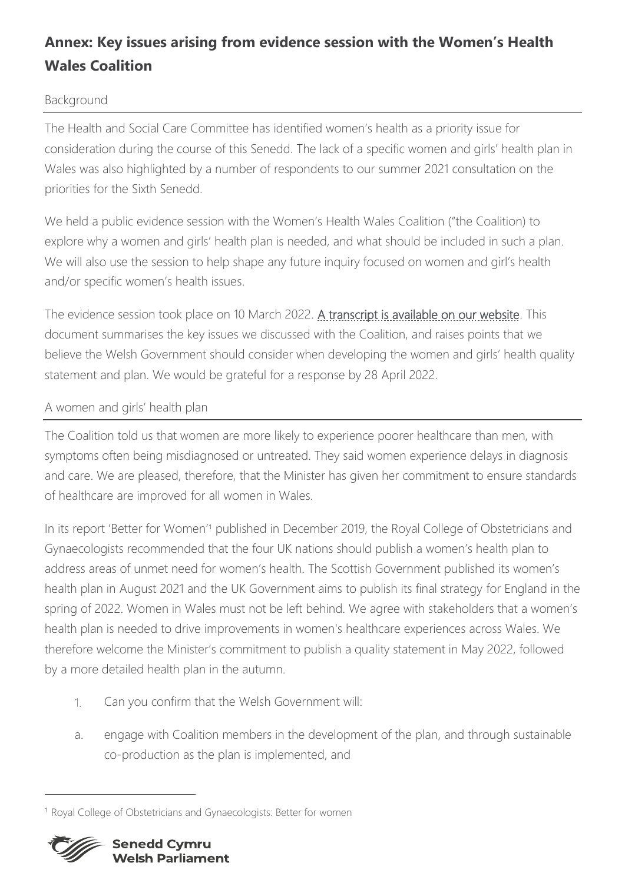# **Annex: Key issues arising from evidence session with the Women's Health Wales Coalition**

### Background

The Health and Social Care Committee has identified women's health as a priority issue for consideration during the course of this Senedd. The lack of a specific women and girls' health plan in Wales was also highlighted by a number of respondents to our summer 2021 consultation on the priorities for the Sixth Senedd.

We held a public evidence session with the Women's Health Wales Coalition ("the Coalition) to explore why a women and girls' health plan is needed, and what should be included in such a plan. We will also use the session to help shape any future inquiry focused on women and girl's health and/or specific women's health issues.

The evidence session took place on 10 March 2022. [A transcript is available on our website.](https://record.assembly.wales/Committee/12643) This document summarises the key issues we discussed with the Coalition, and raises points that we believe the Welsh Government should consider when developing the women and girls' health quality statement and plan. We would be grateful for a response by 28 April 2022.

## A women and girls' health plan

The Coalition told us that women are more likely to experience poorer healthcare than men, with symptoms often being misdiagnosed or untreated. They said women experience delays in diagnosis and care. We are pleased, therefore, that the Minister has given her commitment to ensure standards of healthcare are improved for all women in Wales.

In its report 'Better for Women'<sup>1</sup> published in December 2019, the Royal College of Obstetricians and Gynaecologists recommended that the four UK nations should publish a women's health plan to address areas of unmet need for women's health. The Scottish Government published its women's health plan in August 2021 and the UK Government aims to publish its final strategy for England in the spring of 2022. Women in Wales must not be left behind. We agree with stakeholders that a women's health plan is needed to drive improvements in women's healthcare experiences across Wales. We therefore welcome the Minister's commitment to publish a quality statement in May 2022, followed by a more detailed health plan in the autumn.

- Can you confirm that the Welsh Government will:  $1.$
- a. engage with Coalition members in the development of the plan, and through sustainable co-production as the plan is implemented, and

<sup>&</sup>lt;sup>1</sup> Royal College of Obstetricians and Gynaecologists: Better for women

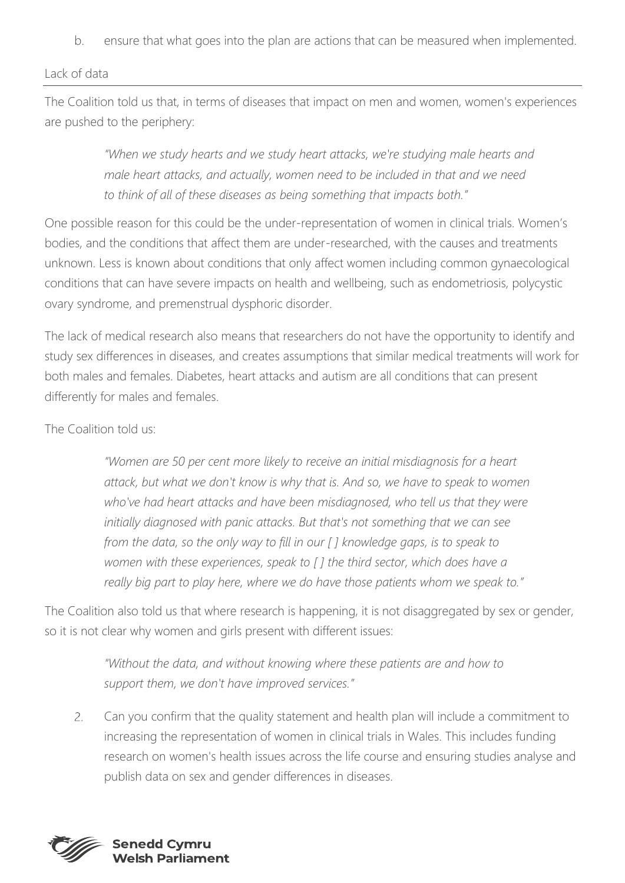b. ensure that what goes into the plan are actions that can be measured when implemented.

#### Lack of data

The Coalition told us that, in terms of diseases that impact on men and women, women's experiences are pushed to the periphery:

> *"When we study hearts and we study heart attacks, we're studying male hearts and male heart attacks, and actually, women need to be included in that and we need to think of all of these diseases as being something that impacts both."*

One possible reason for this could be the under-representation of women in clinical trials. Women's bodies, and the conditions that affect them are under-researched, with the causes and treatments unknown. Less is known about conditions that only affect women including common gynaecological conditions that can have severe impacts on health and wellbeing, such as endometriosis, polycystic ovary syndrome, and premenstrual dysphoric disorder.

The lack of medical research also means that researchers do not have the opportunity to identify and study sex differences in diseases, and creates assumptions that similar medical treatments will work for both males and females. Diabetes, heart attacks and autism are all conditions that can present differently for males and females.

The Coalition told us:

*"Women are 50 per cent more likely to receive an initial misdiagnosis for a heart attack, but what we don't know is why that is. And so, we have to speak to women who've had heart attacks and have been misdiagnosed, who tell us that they were initially diagnosed with panic attacks. But that's not something that we can see from the data, so the only way to fill in our [ ] knowledge gaps, is to speak to women with these experiences, speak to [ ] the third sector, which does have a really big part to play here, where we do have those patients whom we speak to."* 

The Coalition also told us that where research is happening, it is not disaggregated by sex or gender, so it is not clear why women and girls present with different issues:

> *"Without the data, and without knowing where these patients are and how to support them, we don't have improved services."*

 $2.$ Can you confirm that the quality statement and health plan will include a commitment to increasing the representation of women in clinical trials in Wales. This includes funding research on women's health issues across the life course and ensuring studies analyse and publish data on sex and gender differences in diseases.

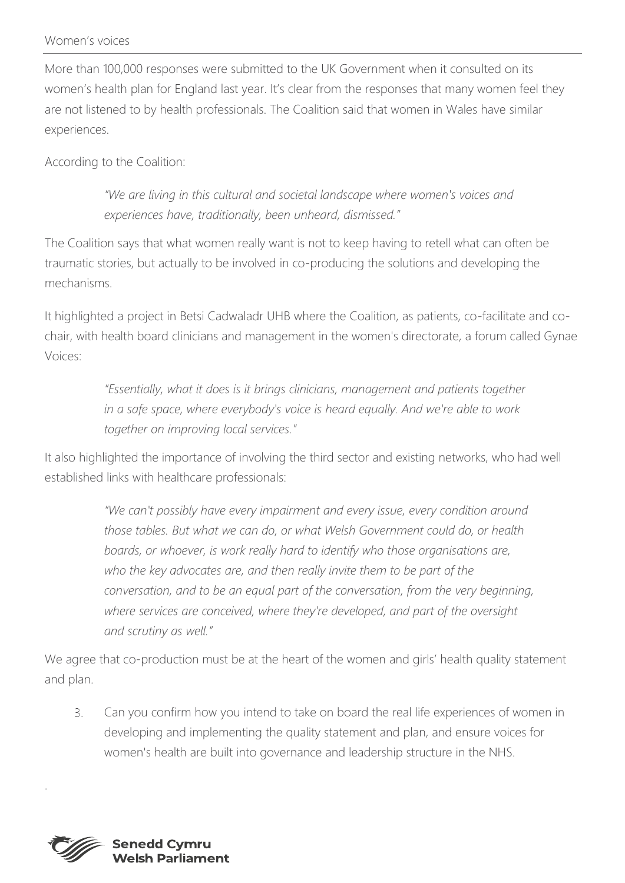More than 100,000 responses were submitted to the UK Government when it consulted on its women's health plan for England last year. It's clear from the responses that many women feel they are not listened to by health professionals. The Coalition said that women in Wales have similar experiences.

According to the Coalition:

*"We are living in this cultural and societal landscape where women's voices and experiences have, traditionally, been unheard, dismissed."*

The Coalition says that what women really want is not to keep having to retell what can often be traumatic stories, but actually to be involved in co-producing the solutions and developing the mechanisms.

It highlighted a project in Betsi Cadwaladr UHB where the Coalition, as patients, co-facilitate and cochair, with health board clinicians and management in the women's directorate, a forum called Gynae Voices:

> *"Essentially, what it does is it brings clinicians, management and patients together in a safe space, where everybody's voice is heard equally. And we're able to work together on improving local services."*

It also highlighted the importance of involving the third sector and existing networks, who had well established links with healthcare professionals:

> *"We can't possibly have every impairment and every issue, every condition around those tables. But what we can do, or what Welsh Government could do, or health boards, or whoever, is work really hard to identify who those organisations are,*  who the key advocates are, and then really invite them to be part of the *conversation, and to be an equal part of the conversation, from the very beginning, where services are conceived, where they're developed, and part of the oversight and scrutiny as well."*

We agree that co-production must be at the heart of the women and girls' health quality statement and plan.

 $3.$ Can you confirm how you intend to take on board the real life experiences of women in developing and implementing the quality statement and plan, and ensure voices for women's health are built into governance and leadership structure in the NHS.



.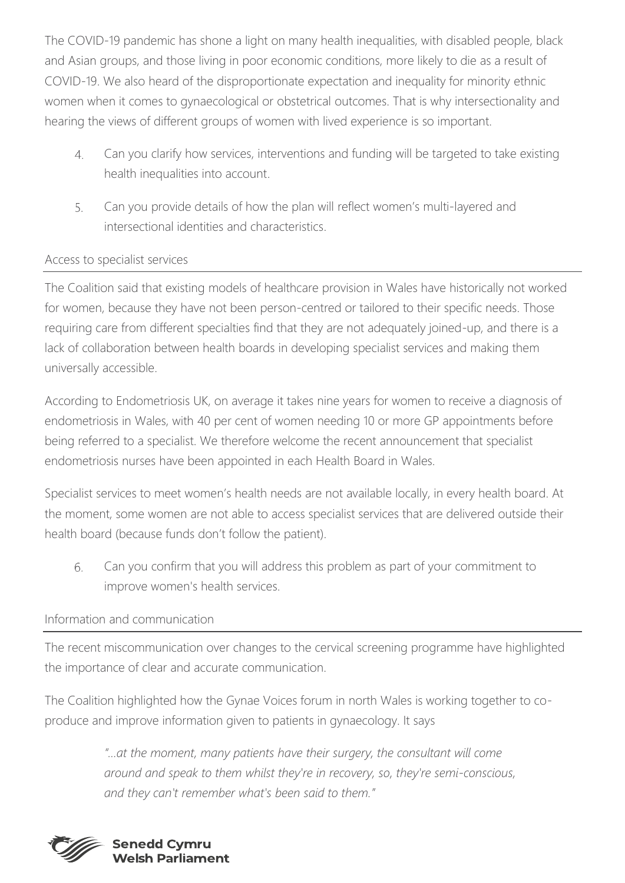The COVID-19 pandemic has shone a light on many health inequalities, with disabled people, black and Asian groups, and those living in poor economic conditions, more likely to die as a result of COVID-19. We also heard of the disproportionate expectation and inequality for minority ethnic women when it comes to gynaecological or obstetrical outcomes. That is why intersectionality and hearing the views of different groups of women with lived experience is so important.

- $4.$ Can you clarify how services, interventions and funding will be targeted to take existing health inequalities into account.
- Can you provide details of how the plan will reflect women's multi-layered and 5. intersectional identities and characteristics.

### Access to specialist services

The Coalition said that existing models of healthcare provision in Wales have historically not worked for women, because they have not been person-centred or tailored to their specific needs. Those requiring care from different specialties find that they are not adequately joined-up, and there is a lack of collaboration between health boards in developing specialist services and making them universally accessible.

According to Endometriosis UK, on average it takes nine years for women to receive a diagnosis of endometriosis in Wales, with 40 per cent of women needing 10 or more GP appointments before being referred to a specialist. We therefore welcome the recent announcement that specialist endometriosis nurses have been appointed in each Health Board in Wales.

Specialist services to meet women's health needs are not available locally, in every health board. At the moment, some women are not able to access specialist services that are delivered outside their health board (because funds don't follow the patient).

6. Can you confirm that you will address this problem as part of your commitment to improve women's health services.

### Information and communication

The recent miscommunication over changes to the cervical screening programme have highlighted the importance of clear and accurate communication.

The Coalition highlighted how the Gynae Voices forum in north Wales is working together to coproduce and improve information given to patients in gynaecology. It says

> *"…at the moment, many patients have their surgery, the consultant will come around and speak to them whilst they're in recovery, so, they're semi-conscious, and they can't remember what's been said to them."*

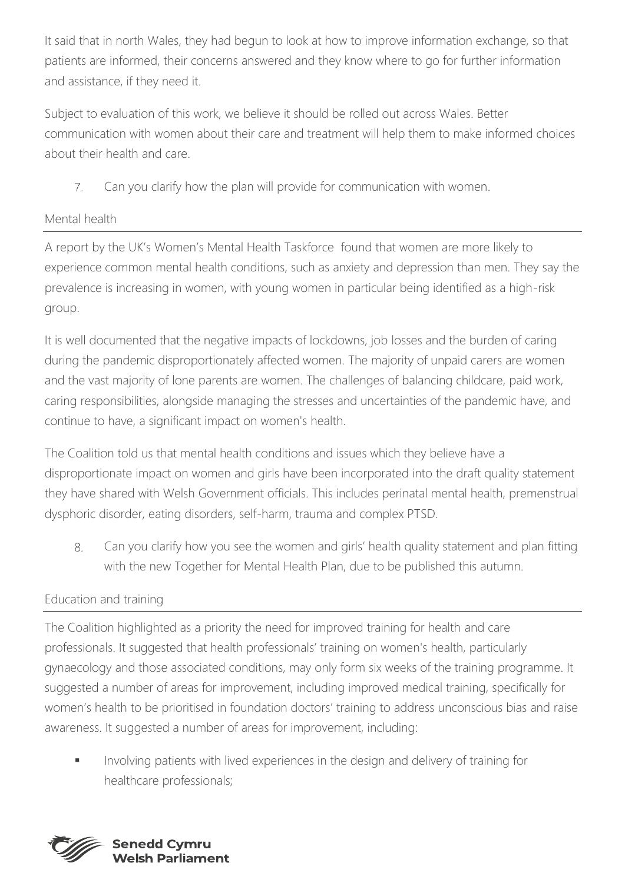It said that in north Wales, they had begun to look at how to improve information exchange, so that patients are informed, their concerns answered and they know where to go for further information and assistance, if they need it.

Subject to evaluation of this work, we believe it should be rolled out across Wales. Better communication with women about their care and treatment will help them to make informed choices about their health and care.

 $7.$ Can you clarify how the plan will provide for communication with women.

# Mental health

A report by the UK's Women's Mental Health Taskforce found that women are more likely to experience common mental health conditions, such as anxiety and depression than men. They say the prevalence is increasing in women, with young women in particular being identified as a high-risk group.

It is well documented that the negative impacts of lockdowns, job losses and the burden of caring during the pandemic disproportionately affected women. The majority of unpaid carers are women and the vast majority of lone parents are women. The challenges of balancing childcare, paid work, caring responsibilities, alongside managing the stresses and uncertainties of the pandemic have, and continue to have, a significant impact on women's health.

The Coalition told us that mental health conditions and issues which they believe have a disproportionate impact on women and girls have been incorporated into the draft quality statement they have shared with Welsh Government officials. This includes perinatal mental health, premenstrual dysphoric disorder, eating disorders, self-harm, trauma and complex PTSD.

 $8<sup>1</sup>$ Can you clarify how you see the women and girls' health quality statement and plan fitting with the new Together for Mental Health Plan, due to be published this autumn.

# Education and training

The Coalition highlighted as a priority the need for improved training for health and care professionals. It suggested that health professionals' training on women's health, particularly gynaecology and those associated conditions, may only form six weeks of the training programme. It suggested a number of areas for improvement, including improved medical training, specifically for women's health to be prioritised in foundation doctors' training to address unconscious bias and raise awareness. It suggested a number of areas for improvement, including:

**■** Involving patients with lived experiences in the design and delivery of training for healthcare professionals;

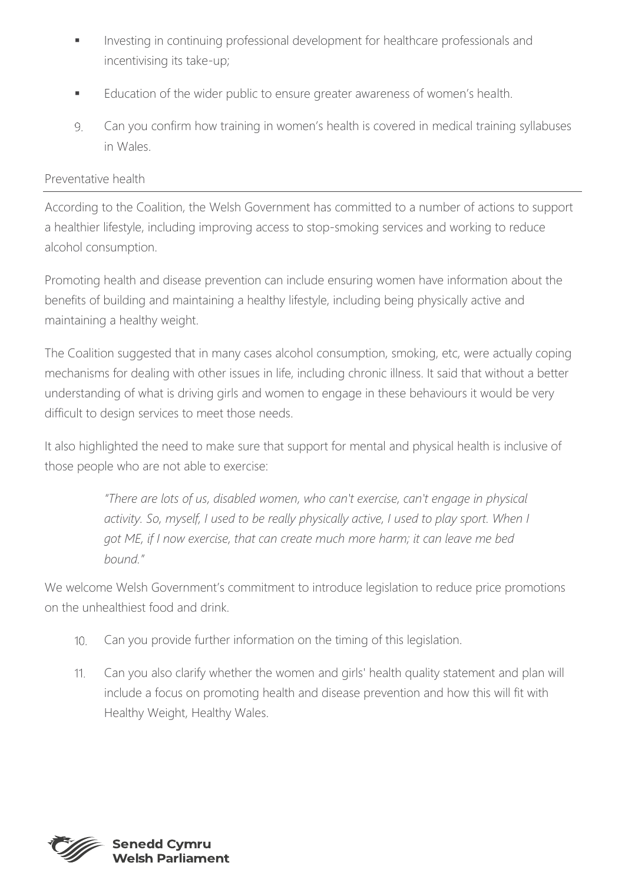- Investing in continuing professional development for healthcare professionals and incentivising its take-up;
- Education of the wider public to ensure greater awareness of women's health.
- Can you confirm how training in women's health is covered in medical training syllabuses 9. in Wales.

### Preventative health

According to the Coalition, the Welsh Government has committed to a number of actions to support a healthier lifestyle, including improving access to stop-smoking services and working to reduce alcohol consumption.

Promoting health and disease prevention can include ensuring women have information about the benefits of building and maintaining a healthy lifestyle, including being physically active and maintaining a healthy weight.

The Coalition suggested that in many cases alcohol consumption, smoking, etc, were actually coping mechanisms for dealing with other issues in life, including chronic illness. It said that without a better understanding of what is driving girls and women to engage in these behaviours it would be very difficult to design services to meet those needs.

It also highlighted the need to make sure that support for mental and physical health is inclusive of those people who are not able to exercise:

> *"There are lots of us, disabled women, who can't exercise, can't engage in physical activity. So, myself, I used to be really physically active, I used to play sport. When I got ME, if I now exercise, that can create much more harm; it can leave me bed bound."*

We welcome Welsh Government's commitment to introduce legislation to reduce price promotions on the unhealthiest food and drink.

- Can you provide further information on the timing of this legislation.  $10<sub>1</sub>$
- Can you also clarify whether the women and girls' health quality statement and plan will  $11<sub>1</sub>$ include a focus on promoting health and disease prevention and how this will fit with Healthy Weight, Healthy Wales.